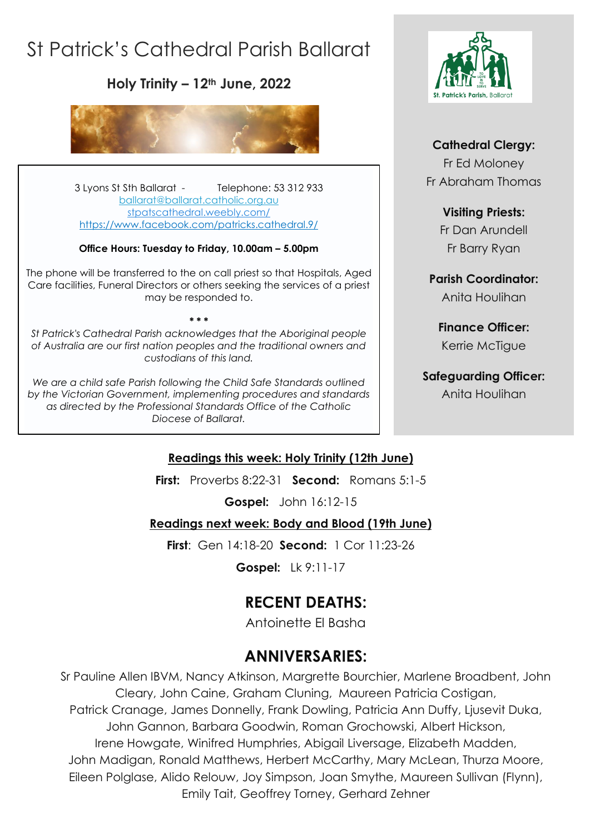# St Patrick's Cathedral Parish Ballarat

**Holy Trinity – 12th June, 2022**



3 Lyons St Sth Ballarat - Telephone: 53 312 933 [ballarat@ballarat.catholic.org.au](mailto:ballarat@ballarat.catholic.org.au)  [stpatscathedral.weebly.com/](https://stpatscathedral.weebly.com/) <https://www.facebook.com/patricks.cathedral.9/>

#### **Office Hours: Tuesday to Friday, 10.00am – 5.00pm**

The phone will be transferred to the on call priest so that Hospitals, Aged Care facilities, Funeral Directors or others seeking the services of a priest may be responded to.

*St Patrick's Cathedral Parish acknowledges that the Aboriginal people of Australia are our first nation peoples and the traditional owners and custodians of this land.*

**\* \* \***

*We are a child safe Parish following the Child Safe Standards outlined by the Victorian Government, implementing procedures and standards as directed by the Professional Standards Office of the Catholic Diocese of Ballarat.*



### **Cathedral Clergy:**

Fr Ed Moloney Fr Abraham Thomas

#### **Visiting Priests:**

Fr Dan Arundell Fr Barry Ryan

**Parish Coordinator:** Anita Houlihan

**Finance Officer:** Kerrie McTigue

### **Safeguarding Officer:**

Anita Houlihan

### **Readings this week: Holy Trinity (12th June)**

**First:** Proverbs 8:22-31 **Second:** Romans 5:1-5

**Gospel:** John 16:12-15

### **Readings next week: Body and Blood (19th June)**

**First**: Gen 14:18-20 **Second:** 1 Cor 11:23-26

**Gospel:** Lk 9:11-17

## **RECENT DEATHS:**

Antoinette El Basha

### **ANNIVERSARIES:**

Sr Pauline Allen IBVM, Nancy Atkinson, Margrette Bourchier, Marlene Broadbent, John Cleary, John Caine, Graham Cluning, Maureen Patricia Costigan, Patrick Cranage, James Donnelly, Frank Dowling, Patricia Ann Duffy, Ljusevit Duka, John Gannon, Barbara Goodwin, Roman Grochowski, Albert Hickson, Irene Howgate, Winifred Humphries, Abigail Liversage, Elizabeth Madden, John Madigan, Ronald Matthews, Herbert McCarthy, Mary McLean, Thurza Moore, Eileen Polglase, Alido Relouw, Joy Simpson, Joan Smythe, Maureen Sullivan (Flynn), Emily Tait, Geoffrey Torney, Gerhard Zehner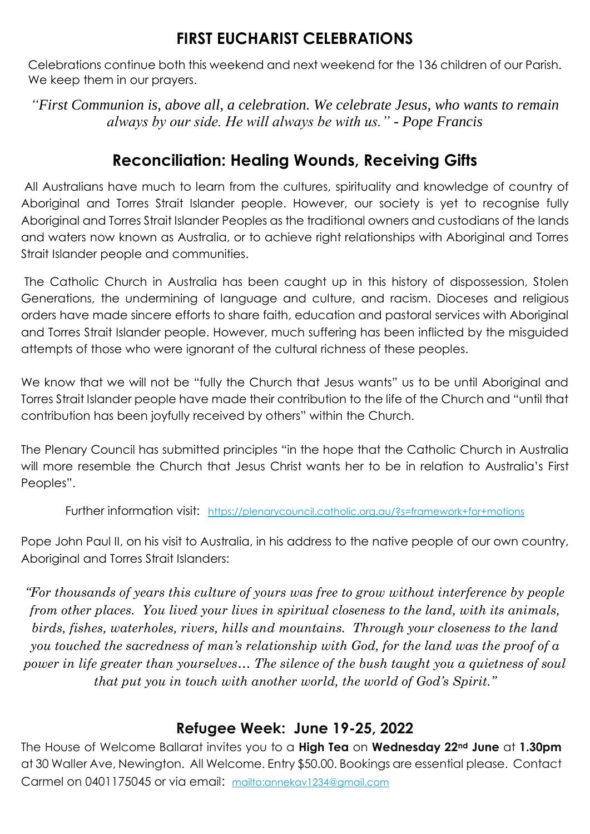### **FIRST EUCHARIST CELEBRATIONS**

Celebrations continue both this weekend and next weekend for the 136 children of our Parish. We keep them in our prayers.

*"First Communion is, above all, a celebration. We celebrate Jesus, who wants to remain always by our side. He will always be with us." - Pope Francis*

### **Reconciliation: Healing Wounds, Receiving Gifts**

All Australians have much to learn from the cultures, spirituality and knowledge of country of Aboriginal and Torres Strait Islander people. However, our society is yet to recognise fully Aboriginal and Torres Strait Islander Peoples as the traditional owners and custodians of the lands and waters now known as Australia, or to achieve right relationships with Aboriginal and Torres Strait Islander people and communities.

The Catholic Church in Australia has been caught up in this history of dispossession, Stolen Generations, the undermining of language and culture, and racism. Dioceses and religious orders have made sincere efforts to share faith, education and pastoral services with Aboriginal and Torres Strait Islander people. However, much suffering has been inflicted by the misguided attempts of those who were ignorant of the cultural richness of these peoples.

We know that we will not be "fully the Church that Jesus wants" us to be until Aboriginal and Torres Strait Islander people have made their contribution to the life of the Church and "until that contribution has been joyfully received by others" within the Church.

The Plenary Council has submitted principles "in the hope that the Catholic Church in Australia will more resemble the Church that Jesus Christ wants her to be in relation to Australia's First Peoples".

Further information visit: <https://plenarycouncil.catholic.org.au/?s=framework+for+motions>

Pope John Paul II, on his visit to Australia, in his address to the native people of our own country, Aboriginal and Torres Strait Islanders:

*"For thousands of years this culture of yours was free to grow without interference by people from other places. You lived your lives in spiritual closeness to the land, with its animals, birds, fishes, waterholes, rivers, hills and mountains. Through your closeness to the land you touched the sacredness of man's relationship with God, for the land was the proof of a power in life greater than yourselves… The silence of the bush taught you a quietness of soul that put you in touch with another world, the world of God's Spirit."*

### **Refugee Week: June 19-25, 2022**

The House of Welcome Ballarat invites you to a **High Tea** on **Wednesday 22nd June** at **1.30pm**  at 30 Waller Ave, Newington. All Welcome. Entry \$50.00. Bookings are essential please. Contact Carmel on 0401175045 or via email: <mailto:annekav1234@gmail.com>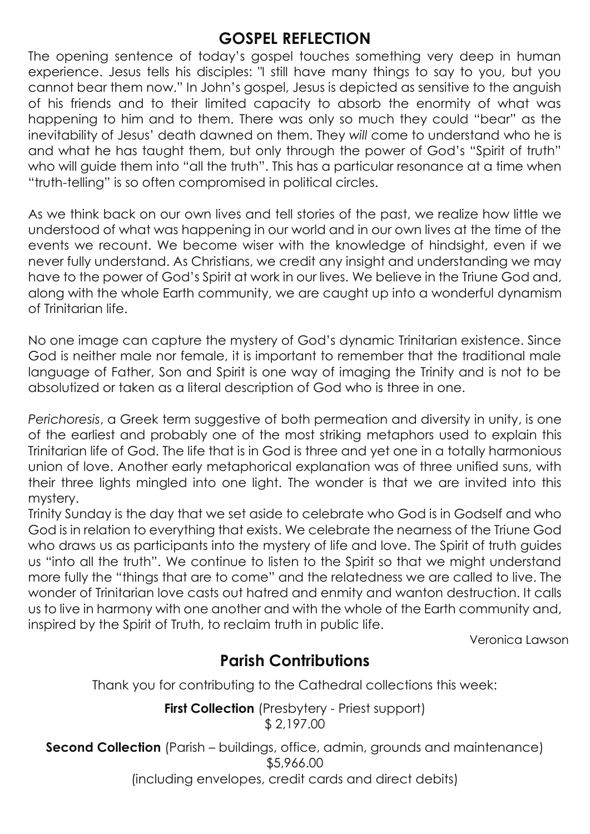### **GOSPEL REFLECTION**

The opening sentence of today's gospel touches something very deep in human experience. Jesus tells his disciples: "I still have many things to say to you, but you cannot bear them now." In John's gospel, Jesus is depicted as sensitive to the anguish of his friends and to their limited capacity to absorb the enormity of what was happening to him and to them. There was only so much they could "bear" as the inevitability of Jesus' death dawned on them. They *will* come to understand who he is and what he has taught them, but only through the power of God's "Spirit of truth" who will guide them into "all the truth". This has a particular resonance at a time when "truth-telling" is so often compromised in political circles.

As we think back on our own lives and tell stories of the past, we realize how little we understood of what was happening in our world and in our own lives at the time of the events we recount. We become wiser with the knowledge of hindsight, even if we never fully understand. As Christians, we credit any insight and understanding we may have to the power of God's Spirit at work in our lives. We believe in the Triune God and, along with the whole Earth community, we are caught up into a wonderful dynamism of Trinitarian life.

No one image can capture the mystery of God's dynamic Trinitarian existence. Since God is neither male nor female, it is important to remember that the traditional male language of Father, Son and Spirit is one way of imaging the Trinity and is not to be absolutized or taken as a literal description of God who is three in one.

*Perichoresis*, a Greek term suggestive of both permeation and diversity in unity, is one of the earliest and probably one of the most striking metaphors used to explain this Trinitarian life of God. The life that is in God is three and yet one in a totally harmonious union of love. Another early metaphorical explanation was of three unified suns, with their three lights mingled into one light. The wonder is that we are invited into this mystery.

Trinity Sunday is the day that we set aside to celebrate who God is in Godself and who God is in relation to everything that exists. We celebrate the nearness of the Triune God who draws us as participants into the mystery of life and love. The Spirit of truth guides us "into all the truth". We continue to listen to the Spirit so that we might understand more fully the "things that are to come" and the relatedness we are called to live. The wonder of Trinitarian love casts out hatred and enmity and wanton destruction. It calls us to live in harmony with one another and with the whole of the Earth community and, inspired by the Spirit of Truth, to reclaim truth in public life.

Veronica Lawson

### **Parish Contributions**

Thank you for contributing to the Cathedral collections this week:

**First Collection** (Presbytery - Priest support) \$ 2,197.00

**Second Collection** (Parish – buildings, office, admin, grounds and maintenance) \$5,966.00 (including envelopes, credit cards and direct debits)